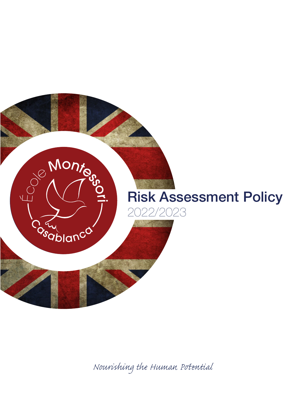

*Nourishing the Human Pential*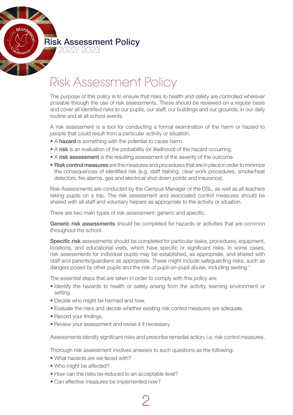Risk Assessment Policy

## Risk Assessment Policy

The purpose of this policy is to ensure that risks to health and safety are controlled wherever possible through the use of risk assessments. These should be reviewed on a regular basis and cover all identified risks to our pupils, our staff, our buildings and our grounds, in our daily routine and at all school events.

A risk assessment is a tool for conducting a formal examination of the harm or hazard to people that could result from a particular activity or situation.

- A hazard is something with the potential to cause harm.
- A risk is an evaluation of the probability (or likelihood) of the hazard occurring.
- A risk assessment is the resulting assessment of the severity of the outcome.
- Risk control measures are the measures and procedures that are in place in order to minimize the consequences of identified risk (e.g. staff training, clear work procedures, smoke/heat detectors, fire alarms, gas and electrical shut down points and insurance).

Risk Assessments are conducted by the Campus Manager or the DSL, as well as all teachers taking pupils on a trip. The risk assessment and associated control measures should be shared with all staff and voluntary helpers as appropriate to the activity or situation.

There are two main types of risk assessment: generic and specific.

Generic risk assessments should be completed for hazards or activities that are common throughout the school.

Specific risk assessments should be completed for particular tasks, procedures, equipment, locations, and educational visits, which have specific or significant risks. In some cases, risk assessments for individual pupils may be established, as appropriate, and shared with staff and parents/guardians as appropriate. These might include safeguarding risks, such as dangers posed by other pupils and the risk of pupil-on-pupil abuse, including sexting.'

The essential steps that are taken in order to comply with this policy are:

- Identify the hazards to health or safety arising from the activity, learning environment or setting.
- Decide who might be harmed and how.
- Evaluate the risks and decide whether existing risk control measures are adequate.
- Record your findings.
- Review your assessment and revise it if necessary.

Assessments identify significant risks and prescribe remedial action, i.e. risk control measures.

Thorough risk assessment involves answers to such questions as the following:

2

- What hazards are we faced with?
- Who might be affected?
- How can the risks be reduced to an acceptable level?
- Can effective measures be implemented now?